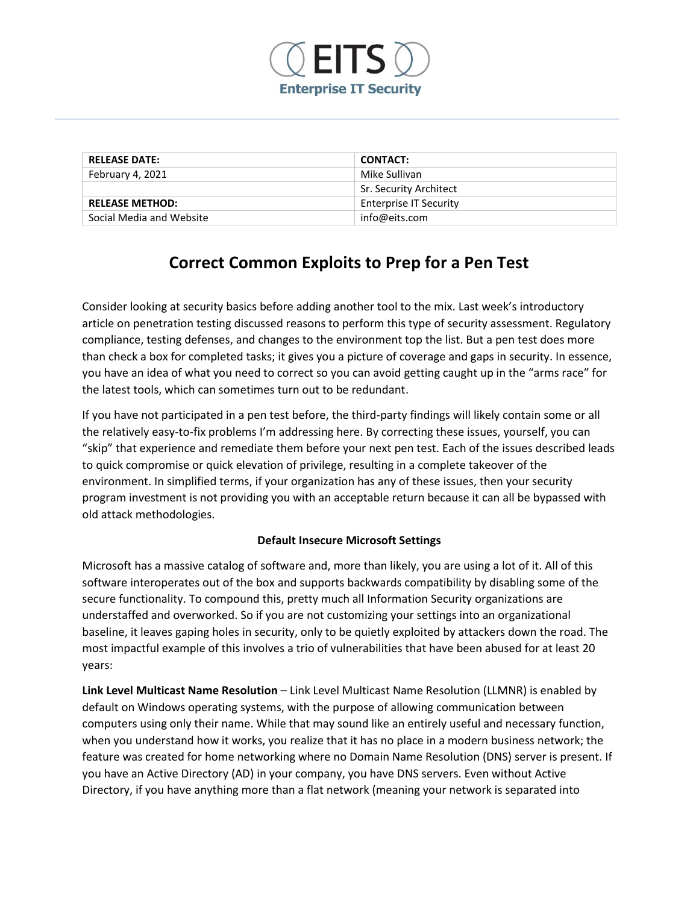

| <b>RELEASE DATE:</b>     | <b>CONTACT:</b>               |
|--------------------------|-------------------------------|
| February 4, 2021         | Mike Sullivan                 |
|                          | Sr. Security Architect        |
| <b>RELEASE METHOD:</b>   | <b>Enterprise IT Security</b> |
| Social Media and Website | info@eits.com                 |

# **Correct Common Exploits to Prep for a Pen Test**

Consider looking at security basics before adding another tool to the mix. Last week's introductory article on penetration testing discussed reasons to perform this type of security assessment. Regulatory compliance, testing defenses, and changes to the environment top the list. But a pen test does more than check a box for completed tasks; it gives you a picture of coverage and gaps in security. In essence, you have an idea of what you need to correct so you can avoid getting caught up in the "arms race" for the latest tools, which can sometimes turn out to be redundant.

If you have not participated in a pen test before, the third-party findings will likely contain some or all the relatively easy-to-fix problems I'm addressing here. By correcting these issues, yourself, you can "skip" that experience and remediate them before your next pen test. Each of the issues described leads to quick compromise or quick elevation of privilege, resulting in a complete takeover of the environment. In simplified terms, if your organization has any of these issues, then your security program investment is not providing you with an acceptable return because it can all be bypassed with old attack methodologies.

## **Default Insecure Microsoft Settings**

Microsoft has a massive catalog of software and, more than likely, you are using a lot of it. All of this software interoperates out of the box and supports backwards compatibility by disabling some of the secure functionality. To compound this, pretty much all Information Security organizations are understaffed and overworked. So if you are not customizing your settings into an organizational baseline, it leaves gaping holes in security, only to be quietly exploited by attackers down the road. The most impactful example of this involves a trio of vulnerabilities that have been abused for at least 20 years:

**Link Level Multicast Name Resolution** – Link Level Multicast Name Resolution (LLMNR) is enabled by default on Windows operating systems, with the purpose of allowing communication between computers using only their name. While that may sound like an entirely useful and necessary function, when you understand how it works, you realize that it has no place in a modern business network; the feature was created for home networking where no Domain Name Resolution (DNS) server is present. If you have an Active Directory (AD) in your company, you have DNS servers. Even without Active Directory, if you have anything more than a flat network (meaning your network is separated into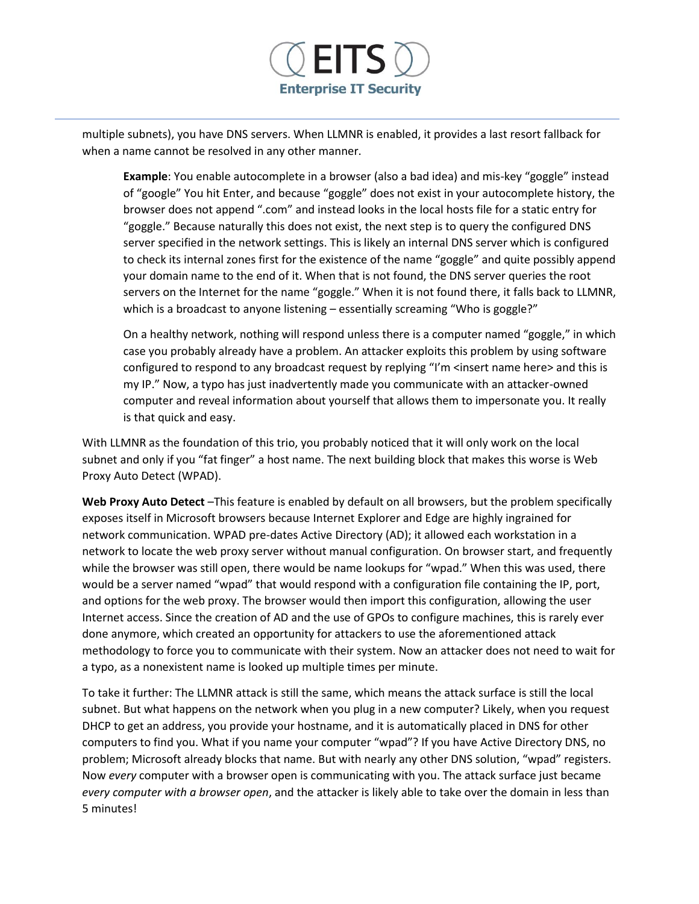

multiple subnets), you have DNS servers. When LLMNR is enabled, it provides a last resort fallback for when a name cannot be resolved in any other manner.

**Example**: You enable autocomplete in a browser (also a bad idea) and mis-key "goggle" instead of "google" You hit Enter, and because "goggle" does not exist in your autocomplete history, the browser does not append ".com" and instead looks in the local hosts file for a static entry for "goggle." Because naturally this does not exist, the next step is to query the configured DNS server specified in the network settings. This is likely an internal DNS server which is configured to check its internal zones first for the existence of the name "goggle" and quite possibly append your domain name to the end of it. When that is not found, the DNS server queries the root servers on the Internet for the name "goggle." When it is not found there, it falls back to LLMNR, which is a broadcast to anyone listening – essentially screaming "Who is goggle?"

On a healthy network, nothing will respond unless there is a computer named "goggle," in which case you probably already have a problem. An attacker exploits this problem by using software configured to respond to any broadcast request by replying "I'm <insert name here> and this is my IP." Now, a typo has just inadvertently made you communicate with an attacker-owned computer and reveal information about yourself that allows them to impersonate you. It really is that quick and easy.

With LLMNR as the foundation of this trio, you probably noticed that it will only work on the local subnet and only if you "fat finger" a host name. The next building block that makes this worse is Web Proxy Auto Detect (WPAD).

**Web Proxy Auto Detect** –This feature is enabled by default on all browsers, but the problem specifically exposes itself in Microsoft browsers because Internet Explorer and Edge are highly ingrained for network communication. WPAD pre-dates Active Directory (AD); it allowed each workstation in a network to locate the web proxy server without manual configuration. On browser start, and frequently while the browser was still open, there would be name lookups for "wpad." When this was used, there would be a server named "wpad" that would respond with a configuration file containing the IP, port, and options for the web proxy. The browser would then import this configuration, allowing the user Internet access. Since the creation of AD and the use of GPOs to configure machines, this is rarely ever done anymore, which created an opportunity for attackers to use the aforementioned attack methodology to force you to communicate with their system. Now an attacker does not need to wait for a typo, as a nonexistent name is looked up multiple times per minute.

To take it further: The LLMNR attack is still the same, which means the attack surface is still the local subnet. But what happens on the network when you plug in a new computer? Likely, when you request DHCP to get an address, you provide your hostname, and it is automatically placed in DNS for other computers to find you. What if you name your computer "wpad"? If you have Active Directory DNS, no problem; Microsoft already blocks that name. But with nearly any other DNS solution, "wpad" registers. Now *every* computer with a browser open is communicating with you. The attack surface just became *every computer with a browser open*, and the attacker is likely able to take over the domain in less than 5 minutes!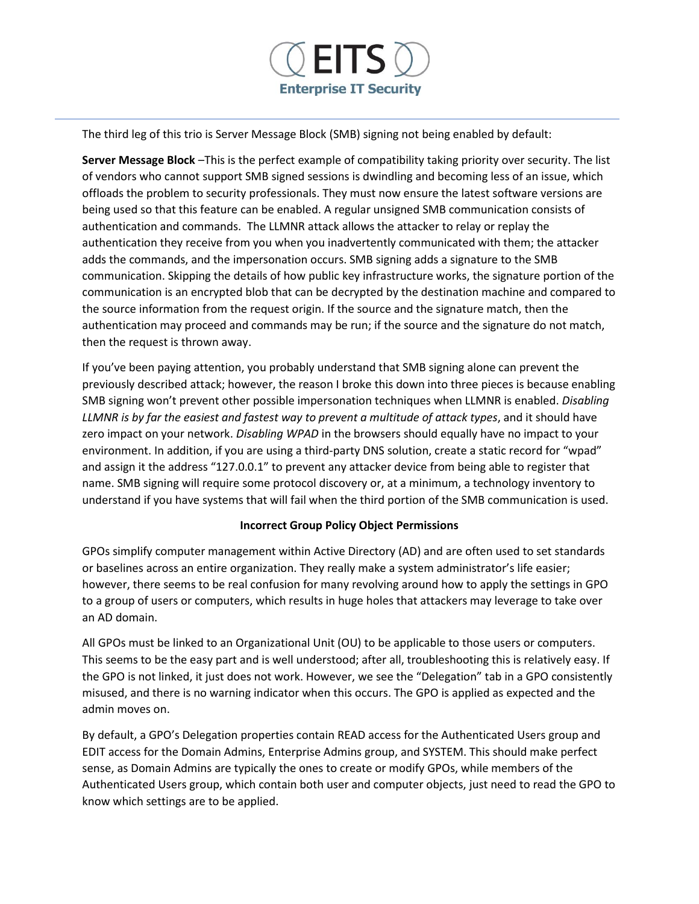

The third leg of this trio is Server Message Block (SMB) signing not being enabled by default:

**Server Message Block** –This is the perfect example of compatibility taking priority over security. The list of vendors who cannot support SMB signed sessions is dwindling and becoming less of an issue, which offloads the problem to security professionals. They must now ensure the latest software versions are being used so that this feature can be enabled. A regular unsigned SMB communication consists of authentication and commands. The LLMNR attack allows the attacker to relay or replay the authentication they receive from you when you inadvertently communicated with them; the attacker adds the commands, and the impersonation occurs. SMB signing adds a signature to the SMB communication. Skipping the details of how public key infrastructure works, the signature portion of the communication is an encrypted blob that can be decrypted by the destination machine and compared to the source information from the request origin. If the source and the signature match, then the authentication may proceed and commands may be run; if the source and the signature do not match, then the request is thrown away.

If you've been paying attention, you probably understand that SMB signing alone can prevent the previously described attack; however, the reason I broke this down into three pieces is because enabling SMB signing won't prevent other possible impersonation techniques when LLMNR is enabled. *Disabling LLMNR is by far the easiest and fastest way to prevent a multitude of attack types*, and it should have zero impact on your network. *Disabling WPAD* in the browsers should equally have no impact to your environment. In addition, if you are using a third-party DNS solution, create a static record for "wpad" and assign it the address "127.0.0.1" to prevent any attacker device from being able to register that name. SMB signing will require some protocol discovery or, at a minimum, a technology inventory to understand if you have systems that will fail when the third portion of the SMB communication is used.

## **Incorrect Group Policy Object Permissions**

GPOs simplify computer management within Active Directory (AD) and are often used to set standards or baselines across an entire organization. They really make a system administrator's life easier; however, there seems to be real confusion for many revolving around how to apply the settings in GPO to a group of users or computers, which results in huge holes that attackers may leverage to take over an AD domain.

All GPOs must be linked to an Organizational Unit (OU) to be applicable to those users or computers. This seems to be the easy part and is well understood; after all, troubleshooting this is relatively easy. If the GPO is not linked, it just does not work. However, we see the "Delegation" tab in a GPO consistently misused, and there is no warning indicator when this occurs. The GPO is applied as expected and the admin moves on.

By default, a GPO's Delegation properties contain READ access for the Authenticated Users group and EDIT access for the Domain Admins, Enterprise Admins group, and SYSTEM. This should make perfect sense, as Domain Admins are typically the ones to create or modify GPOs, while members of the Authenticated Users group, which contain both user and computer objects, just need to read the GPO to know which settings are to be applied.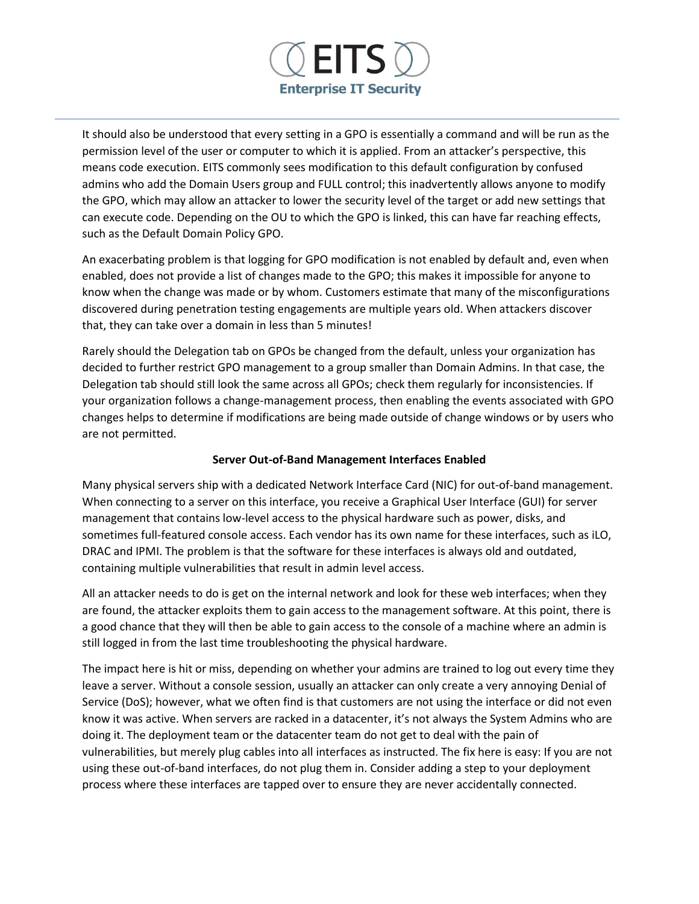

It should also be understood that every setting in a GPO is essentially a command and will be run as the permission level of the user or computer to which it is applied. From an attacker's perspective, this means code execution. EITS commonly sees modification to this default configuration by confused admins who add the Domain Users group and FULL control; this inadvertently allows anyone to modify the GPO, which may allow an attacker to lower the security level of the target or add new settings that can execute code. Depending on the OU to which the GPO is linked, this can have far reaching effects, such as the Default Domain Policy GPO.

An exacerbating problem is that logging for GPO modification is not enabled by default and, even when enabled, does not provide a list of changes made to the GPO; this makes it impossible for anyone to know when the change was made or by whom. Customers estimate that many of the misconfigurations discovered during penetration testing engagements are multiple years old. When attackers discover that, they can take over a domain in less than 5 minutes!

Rarely should the Delegation tab on GPOs be changed from the default, unless your organization has decided to further restrict GPO management to a group smaller than Domain Admins. In that case, the Delegation tab should still look the same across all GPOs; check them regularly for inconsistencies. If your organization follows a change-management process, then enabling the events associated with GPO changes helps to determine if modifications are being made outside of change windows or by users who are not permitted.

## **Server Out-of-Band Management Interfaces Enabled**

Many physical servers ship with a dedicated Network Interface Card (NIC) for out-of-band management. When connecting to a server on this interface, you receive a Graphical User Interface (GUI) for server management that contains low-level access to the physical hardware such as power, disks, and sometimes full-featured console access. Each vendor has its own name for these interfaces, such as iLO, DRAC and IPMI. The problem is that the software for these interfaces is always old and outdated, containing multiple vulnerabilities that result in admin level access.

All an attacker needs to do is get on the internal network and look for these web interfaces; when they are found, the attacker exploits them to gain access to the management software. At this point, there is a good chance that they will then be able to gain access to the console of a machine where an admin is still logged in from the last time troubleshooting the physical hardware.

The impact here is hit or miss, depending on whether your admins are trained to log out every time they leave a server. Without a console session, usually an attacker can only create a very annoying Denial of Service (DoS); however, what we often find is that customers are not using the interface or did not even know it was active. When servers are racked in a datacenter, it's not always the System Admins who are doing it. The deployment team or the datacenter team do not get to deal with the pain of vulnerabilities, but merely plug cables into all interfaces as instructed. The fix here is easy: If you are not using these out-of-band interfaces, do not plug them in. Consider adding a step to your deployment process where these interfaces are tapped over to ensure they are never accidentally connected.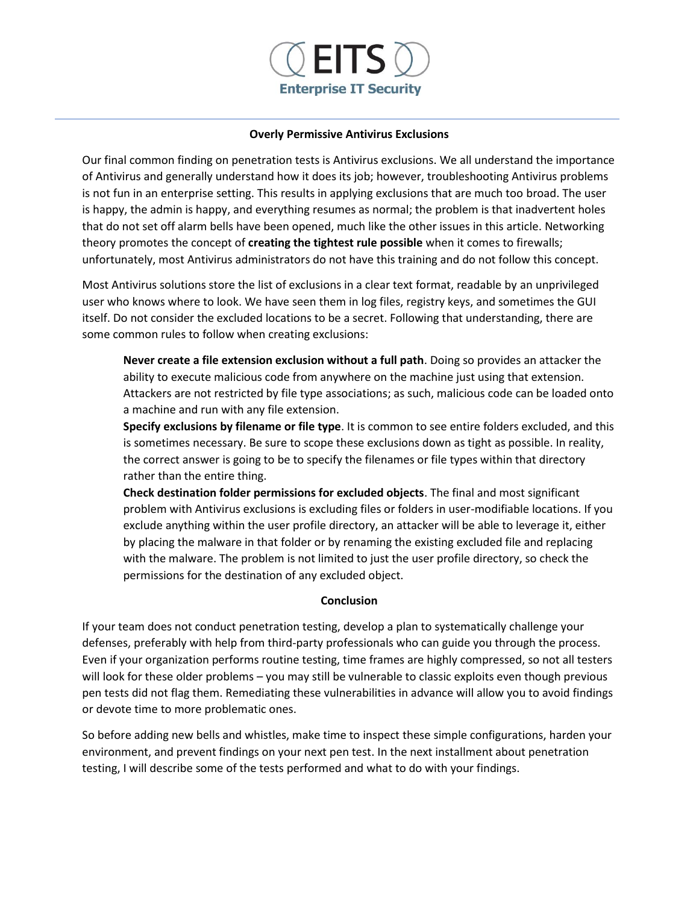

#### **Overly Permissive Antivirus Exclusions**

Our final common finding on penetration tests is Antivirus exclusions. We all understand the importance of Antivirus and generally understand how it does its job; however, troubleshooting Antivirus problems is not fun in an enterprise setting. This results in applying exclusions that are much too broad. The user is happy, the admin is happy, and everything resumes as normal; the problem is that inadvertent holes that do not set off alarm bells have been opened, much like the other issues in this article. Networking theory promotes the concept of **creating the tightest rule possible** when it comes to firewalls; unfortunately, most Antivirus administrators do not have this training and do not follow this concept.

Most Antivirus solutions store the list of exclusions in a clear text format, readable by an unprivileged user who knows where to look. We have seen them in log files, registry keys, and sometimes the GUI itself. Do not consider the excluded locations to be a secret. Following that understanding, there are some common rules to follow when creating exclusions:

**Never create a file extension exclusion without a full path**. Doing so provides an attacker the ability to execute malicious code from anywhere on the machine just using that extension. Attackers are not restricted by file type associations; as such, malicious code can be loaded onto a machine and run with any file extension.

**Specify exclusions by filename or file type**. It is common to see entire folders excluded, and this is sometimes necessary. Be sure to scope these exclusions down as tight as possible. In reality, the correct answer is going to be to specify the filenames or file types within that directory rather than the entire thing.

**Check destination folder permissions for excluded objects**. The final and most significant problem with Antivirus exclusions is excluding files or folders in user-modifiable locations. If you exclude anything within the user profile directory, an attacker will be able to leverage it, either by placing the malware in that folder or by renaming the existing excluded file and replacing with the malware. The problem is not limited to just the user profile directory, so check the permissions for the destination of any excluded object.

#### **Conclusion**

If your team does not conduct penetration testing, develop a plan to systematically challenge your defenses, preferably with help from third-party professionals who can guide you through the process. Even if your organization performs routine testing, time frames are highly compressed, so not all testers will look for these older problems – you may still be vulnerable to classic exploits even though previous pen tests did not flag them. Remediating these vulnerabilities in advance will allow you to avoid findings or devote time to more problematic ones.

So before adding new bells and whistles, make time to inspect these simple configurations, harden your environment, and prevent findings on your next pen test. In the next installment about penetration testing, I will describe some of the tests performed and what to do with your findings.